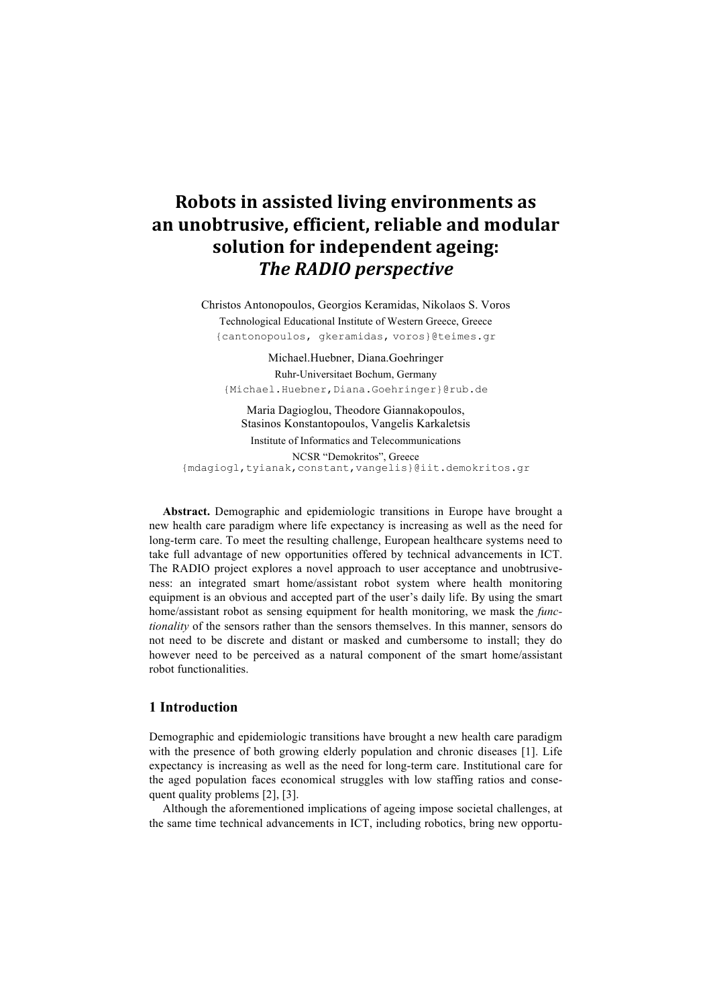# **Robots in assisted living environments as** an unobtrusive, efficient, reliable and modular solution for independent ageing: *The RADIO perspective*

Christos Antonopoulos, Georgios Keramidas, Nikolaos S. Voros Technological Educational Institute of Western Greece, Greece {cantonopoulos, gkeramidas, voros}@teimes.gr

Michael.Huebner, Diana.Goehringer Ruhr-Universitaet Bochum, Germany {Michael.Huebner,Diana.Goehringer}@rub.de

Maria Dagioglou, Theodore Giannakopoulos, Stasinos Konstantopoulos, Vangelis Karkaletsis Institute of Informatics and Telecommunications NCSR "Demokritos", Greece {mdagiogl,tyianak,constant,vangelis}@iit.demokritos.gr

**Abstract.** Demographic and epidemiologic transitions in Europe have brought a new health care paradigm where life expectancy is increasing as well as the need for long-term care. To meet the resulting challenge, European healthcare systems need to take full advantage of new opportunities offered by technical advancements in ICT. The RADIO project explores a novel approach to user acceptance and unobtrusiveness: an integrated smart home/assistant robot system where health monitoring equipment is an obvious and accepted part of the user's daily life. By using the smart home/assistant robot as sensing equipment for health monitoring, we mask the *functionality* of the sensors rather than the sensors themselves. In this manner, sensors do not need to be discrete and distant or masked and cumbersome to install; they do however need to be perceived as a natural component of the smart home/assistant robot functionalities.

# **1 Introduction**

Demographic and epidemiologic transitions have brought a new health care paradigm with the presence of both growing elderly population and chronic diseases [1]. Life expectancy is increasing as well as the need for long-term care. Institutional care for the aged population faces economical struggles with low staffing ratios and consequent quality problems [2], [3].

Although the aforementioned implications of ageing impose societal challenges, at the same time technical advancements in ICT, including robotics, bring new opportu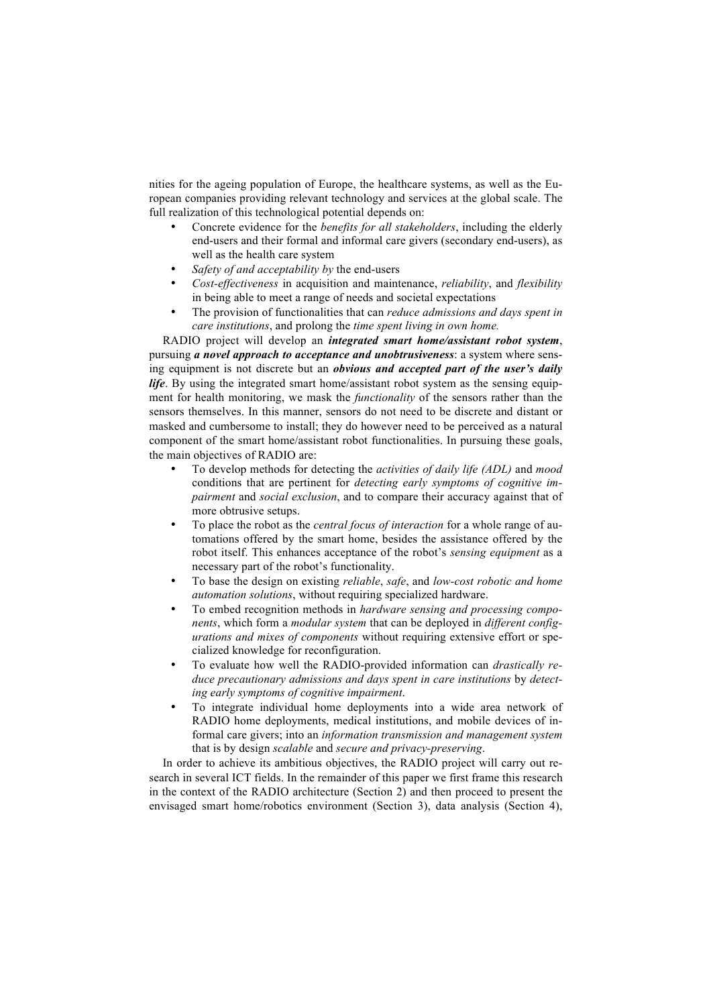nities for the ageing population of Europe, the healthcare systems, as well as the European companies providing relevant technology and services at the global scale. The full realization of this technological potential depends on:

- Concrete evidence for the *benefits for all stakeholders*, including the elderly end-users and their formal and informal care givers (secondary end-users), as well as the health care system
- *Safety of and acceptability by* the end-users
- *Cost-effectiveness* in acquisition and maintenance, *reliability*, and *flexibility* in being able to meet a range of needs and societal expectations
- The provision of functionalities that can *reduce admissions and days spent in care institutions*, and prolong the *time spent living in own home.*

RADIO project will develop an *integrated smart home/assistant robot system*, pursuing *a novel approach to acceptance and unobtrusiveness*: a system where sensing equipment is not discrete but an *obvious and accepted part of the user's daily life*. By using the integrated smart home/assistant robot system as the sensing equipment for health monitoring, we mask the *functionality* of the sensors rather than the sensors themselves. In this manner, sensors do not need to be discrete and distant or masked and cumbersome to install; they do however need to be perceived as a natural component of the smart home/assistant robot functionalities. In pursuing these goals, the main objectives of RADIO are:

- To develop methods for detecting the *activities of daily life (ADL)* and *mood* conditions that are pertinent for *detecting early symptoms of cognitive impairment* and *social exclusion*, and to compare their accuracy against that of more obtrusive setups.
- To place the robot as the *central focus of interaction* for a whole range of automations offered by the smart home, besides the assistance offered by the robot itself. This enhances acceptance of the robot's *sensing equipment* as a necessary part of the robot's functionality.
- To base the design on existing *reliable*, *safe*, and *low-cost robotic and home automation solutions*, without requiring specialized hardware.
- To embed recognition methods in *hardware sensing and processing components*, which form a *modular system* that can be deployed in *different configurations and mixes of components* without requiring extensive effort or specialized knowledge for reconfiguration.
- To evaluate how well the RADIO-provided information can *drastically reduce precautionary admissions and days spent in care institutions* by *detecting early symptoms of cognitive impairment*.
- To integrate individual home deployments into a wide area network of RADIO home deployments, medical institutions, and mobile devices of informal care givers; into an *information transmission and management system* that is by design *scalable* and *secure and privacy-preserving*.

In order to achieve its ambitious objectives, the RADIO project will carry out research in several ICT fields. In the remainder of this paper we first frame this research in the context of the RADIO architecture (Section 2) and then proceed to present the envisaged smart home/robotics environment (Section 3), data analysis (Section 4),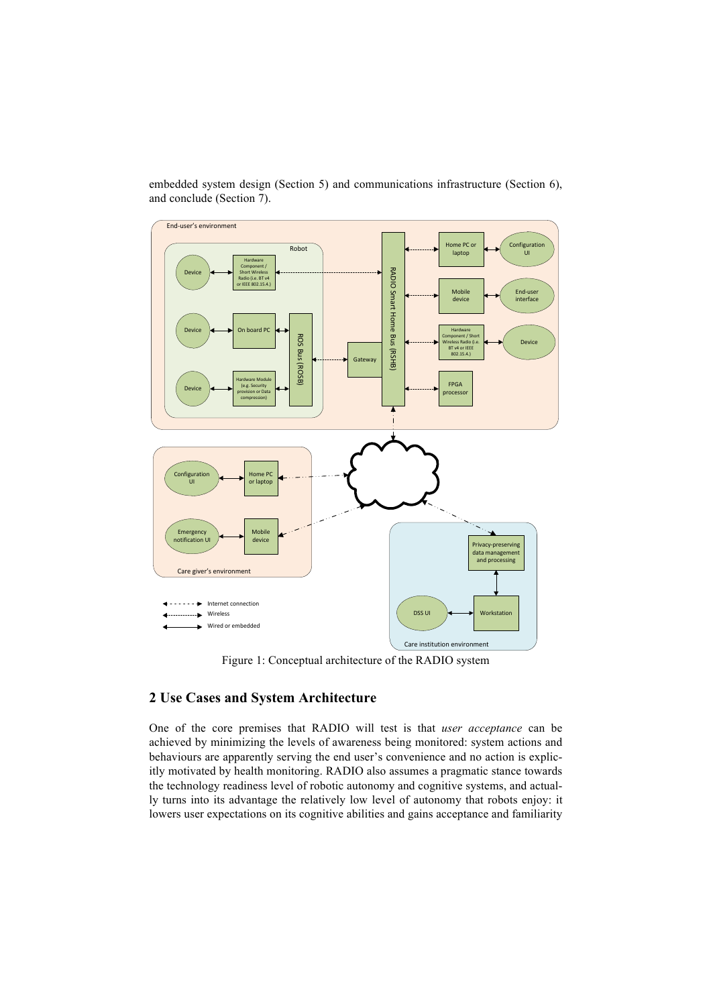

embedded system design (Section 5) and communications infrastructure (Section 6), and conclude (Section 7).

Figure 1: Conceptual architecture of the RADIO system

# **2 Use Cases and System Architecture**

One of the core premises that RADIO will test is that *user acceptance* can be achieved by minimizing the levels of awareness being monitored: system actions and behaviours are apparently serving the end user's convenience and no action is explicitly motivated by health monitoring. RADIO also assumes a pragmatic stance towards the technology readiness level of robotic autonomy and cognitive systems, and actually turns into its advantage the relatively low level of autonomy that robots enjoy: it lowers user expectations on its cognitive abilities and gains acceptance and familiarity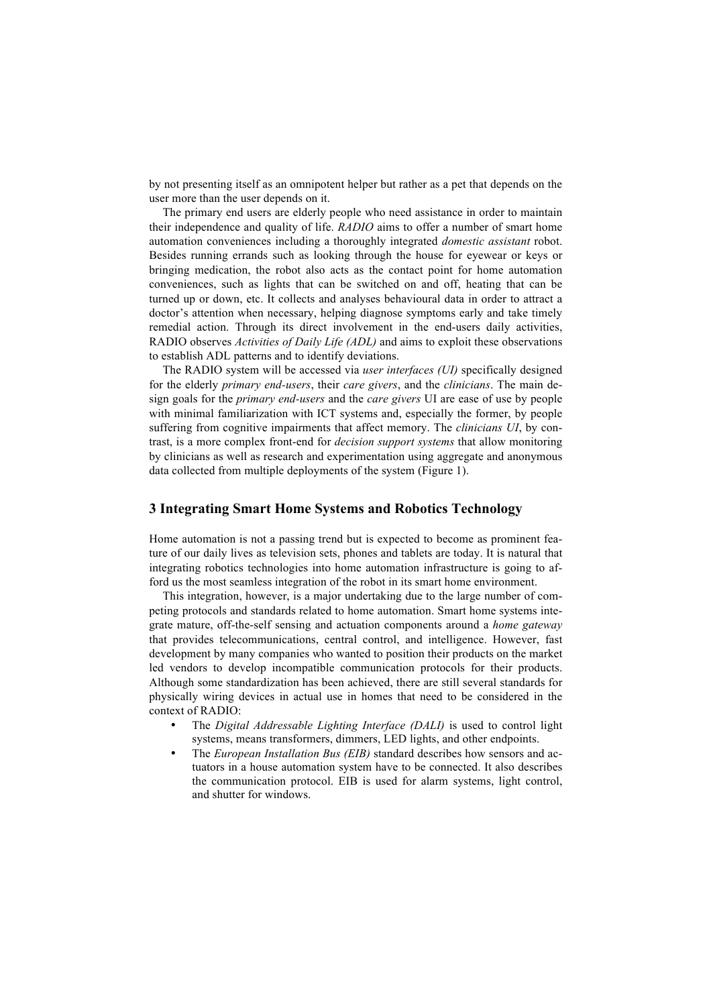by not presenting itself as an omnipotent helper but rather as a pet that depends on the user more than the user depends on it.

The primary end users are elderly people who need assistance in order to maintain their independence and quality of life. *RADIO* aims to offer a number of smart home automation conveniences including a thoroughly integrated *domestic assistant* robot. Besides running errands such as looking through the house for eyewear or keys or bringing medication, the robot also acts as the contact point for home automation conveniences, such as lights that can be switched on and off, heating that can be turned up or down, etc. It collects and analyses behavioural data in order to attract a doctor's attention when necessary, helping diagnose symptoms early and take timely remedial action. Through its direct involvement in the end-users daily activities, RADIO observes *Activities of Daily Life (ADL)* and aims to exploit these observations to establish ADL patterns and to identify deviations.

The RADIO system will be accessed via *user interfaces (UI)* specifically designed for the elderly *primary end-users*, their *care givers*, and the *clinicians*. The main design goals for the *primary end-users* and the *care givers* UI are ease of use by people with minimal familiarization with ICT systems and, especially the former, by people suffering from cognitive impairments that affect memory. The *clinicians UI*, by contrast, is a more complex front-end for *decision support systems* that allow monitoring by clinicians as well as research and experimentation using aggregate and anonymous data collected from multiple deployments of the system (Figure 1).

# **3 Integrating Smart Home Systems and Robotics Technology**

Home automation is not a passing trend but is expected to become as prominent feature of our daily lives as television sets, phones and tablets are today. It is natural that integrating robotics technologies into home automation infrastructure is going to afford us the most seamless integration of the robot in its smart home environment.

This integration, however, is a major undertaking due to the large number of competing protocols and standards related to home automation. Smart home systems integrate mature, off-the-self sensing and actuation components around a *home gateway* that provides telecommunications, central control, and intelligence. However, fast development by many companies who wanted to position their products on the market led vendors to develop incompatible communication protocols for their products. Although some standardization has been achieved, there are still several standards for physically wiring devices in actual use in homes that need to be considered in the context of RADIO:

- The *Digital Addressable Lighting Interface (DALI)* is used to control light systems, means transformers, dimmers, LED lights, and other endpoints.
- The *European Installation Bus (EIB)* standard describes how sensors and actuators in a house automation system have to be connected. It also describes the communication protocol. EIB is used for alarm systems, light control, and shutter for windows.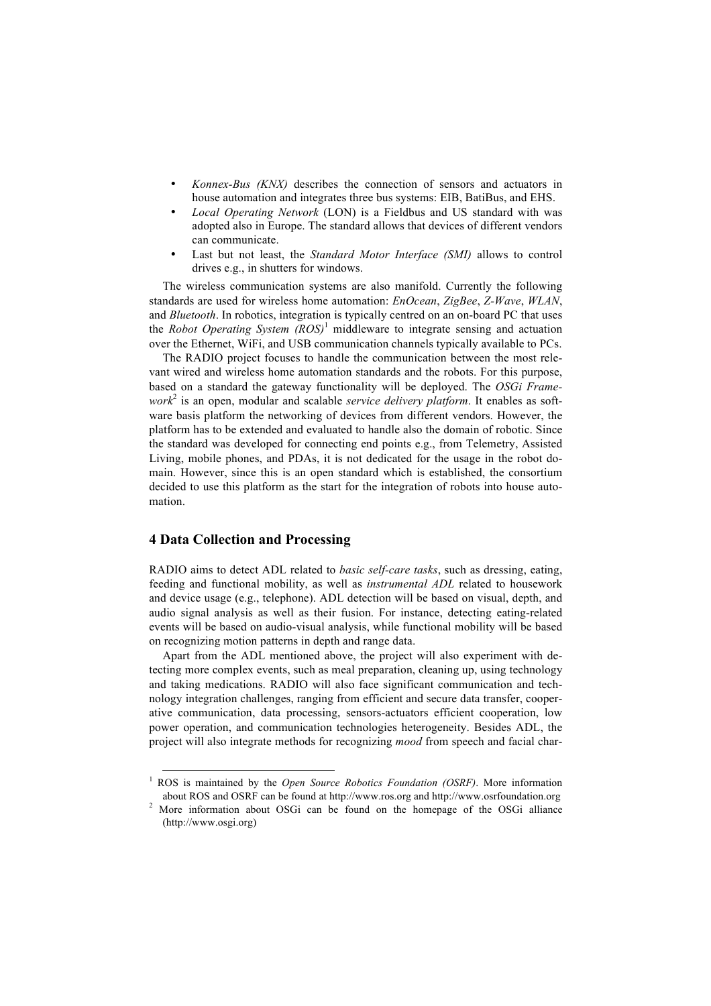- *Konnex-Bus (KNX)* describes the connection of sensors and actuators in house automation and integrates three bus systems: EIB, BatiBus, and EHS.
- *Local Operating Network* (LON) is a Fieldbus and US standard with was adopted also in Europe. The standard allows that devices of different vendors can communicate.
- Last but not least, the *Standard Motor Interface (SMI)* allows to control drives e.g., in shutters for windows.

The wireless communication systems are also manifold. Currently the following standards are used for wireless home automation: *EnOcean*, *ZigBee*, *Z-Wave*, *WLAN*, and *Bluetooth*. In robotics, integration is typically centred on an on-board PC that uses the *Robot Operating System (ROS)*<sup>1</sup> middleware to integrate sensing and actuation over the Ethernet, WiFi, and USB communication channels typically available to PCs.

The RADIO project focuses to handle the communication between the most relevant wired and wireless home automation standards and the robots. For this purpose, based on a standard the gateway functionality will be deployed. The *OSGi Framework*<sup>2</sup> is an open, modular and scalable *service delivery platform*. It enables as software basis platform the networking of devices from different vendors. However, the platform has to be extended and evaluated to handle also the domain of robotic. Since the standard was developed for connecting end points e.g., from Telemetry, Assisted Living, mobile phones, and PDAs, it is not dedicated for the usage in the robot domain. However, since this is an open standard which is established, the consortium decided to use this platform as the start for the integration of robots into house automation.

#### **4 Data Collection and Processing**

RADIO aims to detect ADL related to *basic self-care tasks*, such as dressing, eating, feeding and functional mobility, as well as *instrumental ADL* related to housework and device usage (e.g., telephone). ADL detection will be based on visual, depth, and audio signal analysis as well as their fusion. For instance, detecting eating-related events will be based on audio-visual analysis, while functional mobility will be based on recognizing motion patterns in depth and range data.

Apart from the ADL mentioned above, the project will also experiment with detecting more complex events, such as meal preparation, cleaning up, using technology and taking medications. RADIO will also face significant communication and technology integration challenges, ranging from efficient and secure data transfer, cooperative communication, data processing, sensors-actuators efficient cooperation, low power operation, and communication technologies heterogeneity. Besides ADL, the project will also integrate methods for recognizing *mood* from speech and facial char-

<sup>&</sup>lt;sup>1</sup> ROS is maintained by the *Open Source Robotics Foundation (OSRF)*. More information about ROS and OSRF can be found at http://www.ros.org and http://www.osrfoundation.org

<sup>&</sup>lt;sup>2</sup> More information about OSGi can be found on the homepage of the OSGi alliance (http://www.osgi.org)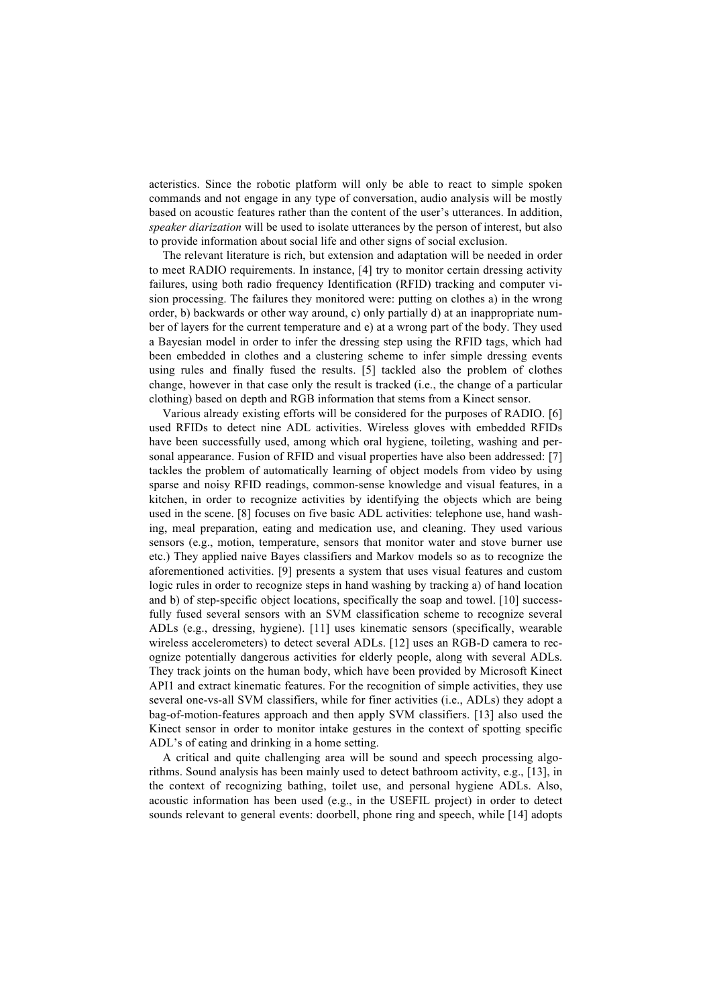acteristics. Since the robotic platform will only be able to react to simple spoken commands and not engage in any type of conversation, audio analysis will be mostly based on acoustic features rather than the content of the user's utterances. In addition, *speaker diarization* will be used to isolate utterances by the person of interest, but also to provide information about social life and other signs of social exclusion.

The relevant literature is rich, but extension and adaptation will be needed in order to meet RADIO requirements. In instance, [4] try to monitor certain dressing activity failures, using both radio frequency Identification (RFID) tracking and computer vision processing. The failures they monitored were: putting on clothes a) in the wrong order, b) backwards or other way around, c) only partially d) at an inappropriate number of layers for the current temperature and e) at a wrong part of the body. They used a Bayesian model in order to infer the dressing step using the RFID tags, which had been embedded in clothes and a clustering scheme to infer simple dressing events using rules and finally fused the results. [5] tackled also the problem of clothes change, however in that case only the result is tracked (i.e., the change of a particular clothing) based on depth and RGB information that stems from a Kinect sensor.

Various already existing efforts will be considered for the purposes of RADIO. [6] used RFIDs to detect nine ADL activities. Wireless gloves with embedded RFIDs have been successfully used, among which oral hygiene, toileting, washing and personal appearance. Fusion of RFID and visual properties have also been addressed: [7] tackles the problem of automatically learning of object models from video by using sparse and noisy RFID readings, common-sense knowledge and visual features, in a kitchen, in order to recognize activities by identifying the objects which are being used in the scene. [8] focuses on five basic ADL activities: telephone use, hand washing, meal preparation, eating and medication use, and cleaning. They used various sensors (e.g., motion, temperature, sensors that monitor water and stove burner use etc.) They applied naive Bayes classifiers and Markov models so as to recognize the aforementioned activities. [9] presents a system that uses visual features and custom logic rules in order to recognize steps in hand washing by tracking a) of hand location and b) of step-specific object locations, specifically the soap and towel. [10] successfully fused several sensors with an SVM classification scheme to recognize several ADLs (e.g., dressing, hygiene). [11] uses kinematic sensors (specifically, wearable wireless accelerometers) to detect several ADLs. [12] uses an RGB-D camera to recognize potentially dangerous activities for elderly people, along with several ADLs. They track joints on the human body, which have been provided by Microsoft Kinect API1 and extract kinematic features. For the recognition of simple activities, they use several one-vs-all SVM classifiers, while for finer activities (i.e., ADLs) they adopt a bag-of-motion-features approach and then apply SVM classifiers. [13] also used the Kinect sensor in order to monitor intake gestures in the context of spotting specific ADL's of eating and drinking in a home setting.

A critical and quite challenging area will be sound and speech processing algorithms. Sound analysis has been mainly used to detect bathroom activity, e.g., [13], in the context of recognizing bathing, toilet use, and personal hygiene ADLs. Also, acoustic information has been used (e.g., in the USEFIL project) in order to detect sounds relevant to general events: doorbell, phone ring and speech, while [14] adopts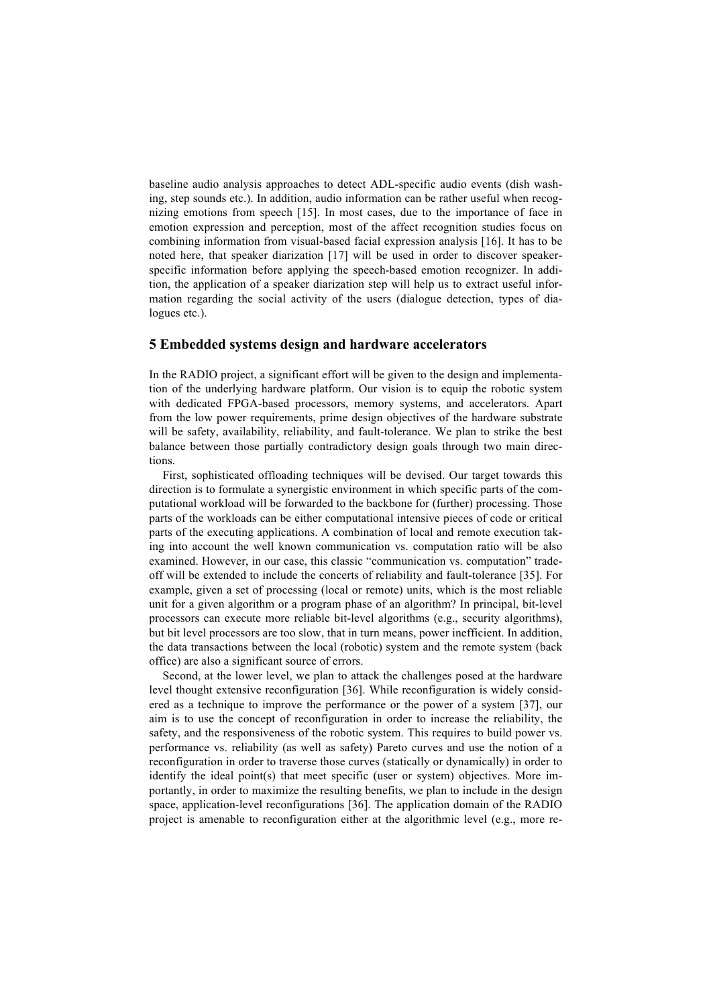baseline audio analysis approaches to detect ADL-specific audio events (dish washing, step sounds etc.). In addition, audio information can be rather useful when recognizing emotions from speech [15]. In most cases, due to the importance of face in emotion expression and perception, most of the affect recognition studies focus on combining information from visual-based facial expression analysis [16]. It has to be noted here, that speaker diarization [17] will be used in order to discover speakerspecific information before applying the speech-based emotion recognizer. In addition, the application of a speaker diarization step will help us to extract useful information regarding the social activity of the users (dialogue detection, types of dialogues etc.).

#### **5 Embedded systems design and hardware accelerators**

In the RADIO project, a significant effort will be given to the design and implementation of the underlying hardware platform. Our vision is to equip the robotic system with dedicated FPGA-based processors, memory systems, and accelerators. Apart from the low power requirements, prime design objectives of the hardware substrate will be safety, availability, reliability, and fault-tolerance. We plan to strike the best balance between those partially contradictory design goals through two main directions.

First, sophisticated offloading techniques will be devised. Our target towards this direction is to formulate a synergistic environment in which specific parts of the computational workload will be forwarded to the backbone for (further) processing. Those parts of the workloads can be either computational intensive pieces of code or critical parts of the executing applications. A combination of local and remote execution taking into account the well known communication vs. computation ratio will be also examined. However, in our case, this classic "communication vs. computation" tradeoff will be extended to include the concerts of reliability and fault-tolerance [35]. For example, given a set of processing (local or remote) units, which is the most reliable unit for a given algorithm or a program phase of an algorithm? In principal, bit-level processors can execute more reliable bit-level algorithms (e.g., security algorithms), but bit level processors are too slow, that in turn means, power inefficient. In addition, the data transactions between the local (robotic) system and the remote system (back office) are also a significant source of errors.

Second, at the lower level, we plan to attack the challenges posed at the hardware level thought extensive reconfiguration [36]. While reconfiguration is widely considered as a technique to improve the performance or the power of a system [37], our aim is to use the concept of reconfiguration in order to increase the reliability, the safety, and the responsiveness of the robotic system. This requires to build power vs. performance vs. reliability (as well as safety) Pareto curves and use the notion of a reconfiguration in order to traverse those curves (statically or dynamically) in order to identify the ideal point(s) that meet specific (user or system) objectives. More importantly, in order to maximize the resulting benefits, we plan to include in the design space, application-level reconfigurations [36]. The application domain of the RADIO project is amenable to reconfiguration either at the algorithmic level (e.g., more re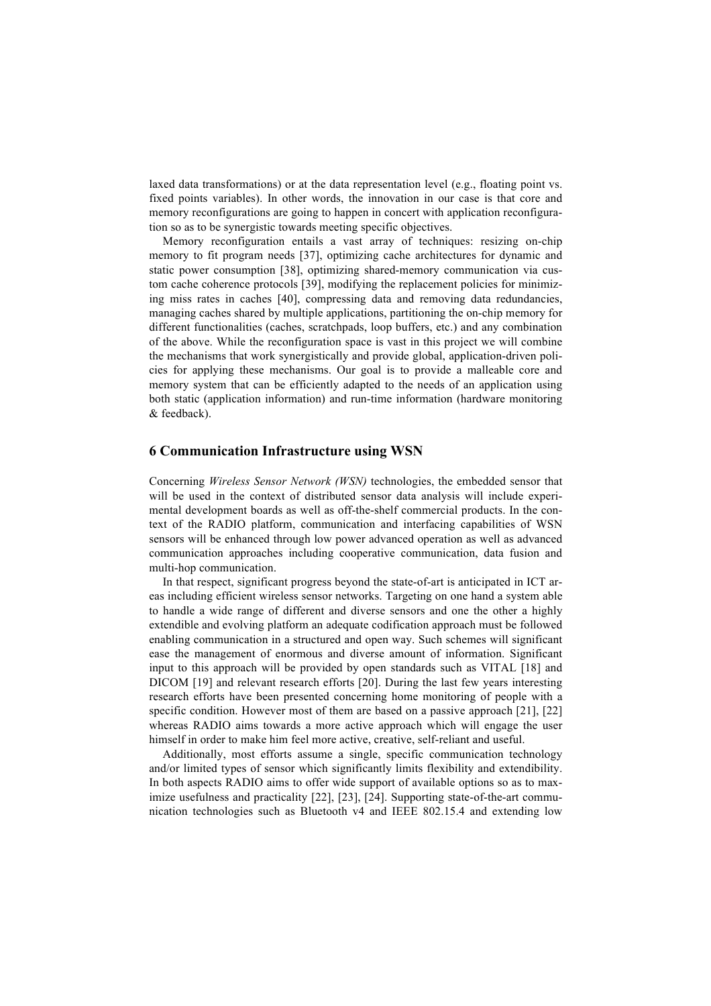laxed data transformations) or at the data representation level (e.g., floating point vs. fixed points variables). In other words, the innovation in our case is that core and memory reconfigurations are going to happen in concert with application reconfiguration so as to be synergistic towards meeting specific objectives.

Memory reconfiguration entails a vast array of techniques: resizing on-chip memory to fit program needs [37], optimizing cache architectures for dynamic and static power consumption [38], optimizing shared-memory communication via custom cache coherence protocols [39], modifying the replacement policies for minimizing miss rates in caches [40], compressing data and removing data redundancies, managing caches shared by multiple applications, partitioning the on-chip memory for different functionalities (caches, scratchpads, loop buffers, etc.) and any combination of the above. While the reconfiguration space is vast in this project we will combine the mechanisms that work synergistically and provide global, application-driven policies for applying these mechanisms. Our goal is to provide a malleable core and memory system that can be efficiently adapted to the needs of an application using both static (application information) and run-time information (hardware monitoring & feedback).

#### **6 Communication Infrastructure using WSN**

Concerning *Wireless Sensor Network (WSN)* technologies, the embedded sensor that will be used in the context of distributed sensor data analysis will include experimental development boards as well as off-the-shelf commercial products. In the context of the RADIO platform, communication and interfacing capabilities of WSN sensors will be enhanced through low power advanced operation as well as advanced communication approaches including cooperative communication, data fusion and multi-hop communication.

In that respect, significant progress beyond the state-of-art is anticipated in ICT areas including efficient wireless sensor networks. Targeting on one hand a system able to handle a wide range of different and diverse sensors and one the other a highly extendible and evolving platform an adequate codification approach must be followed enabling communication in a structured and open way. Such schemes will significant ease the management of enormous and diverse amount of information. Significant input to this approach will be provided by open standards such as VITAL [18] and DICOM [19] and relevant research efforts [20]. During the last few years interesting research efforts have been presented concerning home monitoring of people with a specific condition. However most of them are based on a passive approach [21], [22] whereas RADIO aims towards a more active approach which will engage the user himself in order to make him feel more active, creative, self-reliant and useful.

Additionally, most efforts assume a single, specific communication technology and/or limited types of sensor which significantly limits flexibility and extendibility. In both aspects RADIO aims to offer wide support of available options so as to maximize usefulness and practicality [22], [23], [24]. Supporting state-of-the-art communication technologies such as Bluetooth v4 and IEEE 802.15.4 and extending low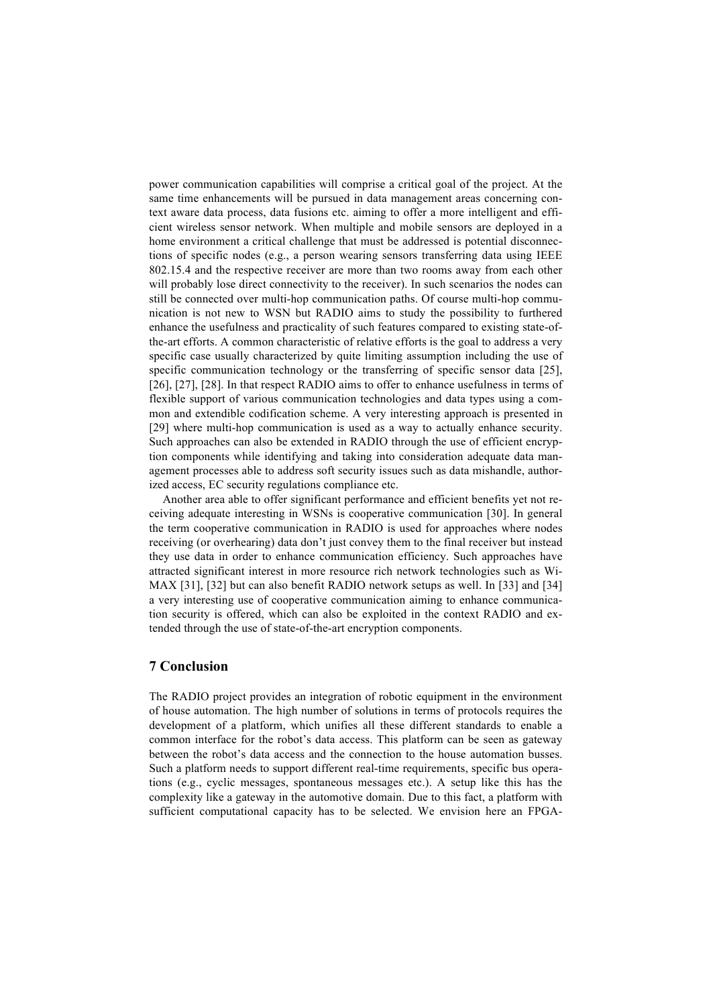power communication capabilities will comprise a critical goal of the project. At the same time enhancements will be pursued in data management areas concerning context aware data process, data fusions etc. aiming to offer a more intelligent and efficient wireless sensor network. When multiple and mobile sensors are deployed in a home environment a critical challenge that must be addressed is potential disconnections of specific nodes (e.g., a person wearing sensors transferring data using IEEE 802.15.4 and the respective receiver are more than two rooms away from each other will probably lose direct connectivity to the receiver). In such scenarios the nodes can still be connected over multi-hop communication paths. Of course multi-hop communication is not new to WSN but RADIO aims to study the possibility to furthered enhance the usefulness and practicality of such features compared to existing state-ofthe-art efforts. A common characteristic of relative efforts is the goal to address a very specific case usually characterized by quite limiting assumption including the use of specific communication technology or the transferring of specific sensor data [25], [26], [27], [28]. In that respect RADIO aims to offer to enhance usefulness in terms of flexible support of various communication technologies and data types using a common and extendible codification scheme. A very interesting approach is presented in [29] where multi-hop communication is used as a way to actually enhance security. Such approaches can also be extended in RADIO through the use of efficient encryption components while identifying and taking into consideration adequate data management processes able to address soft security issues such as data mishandle, authorized access, EC security regulations compliance etc.

Another area able to offer significant performance and efficient benefits yet not receiving adequate interesting in WSNs is cooperative communication [30]. In general the term cooperative communication in RADIO is used for approaches where nodes receiving (or overhearing) data don't just convey them to the final receiver but instead they use data in order to enhance communication efficiency. Such approaches have attracted significant interest in more resource rich network technologies such as Wi-MAX [31], [32] but can also benefit RADIO network setups as well. In [33] and [34] a very interesting use of cooperative communication aiming to enhance communication security is offered, which can also be exploited in the context RADIO and extended through the use of state-of-the-art encryption components.

#### **7 Conclusion**

The RADIO project provides an integration of robotic equipment in the environment of house automation. The high number of solutions in terms of protocols requires the development of a platform, which unifies all these different standards to enable a common interface for the robot's data access. This platform can be seen as gateway between the robot's data access and the connection to the house automation busses. Such a platform needs to support different real-time requirements, specific bus operations (e.g., cyclic messages, spontaneous messages etc.). A setup like this has the complexity like a gateway in the automotive domain. Due to this fact, a platform with sufficient computational capacity has to be selected. We envision here an FPGA-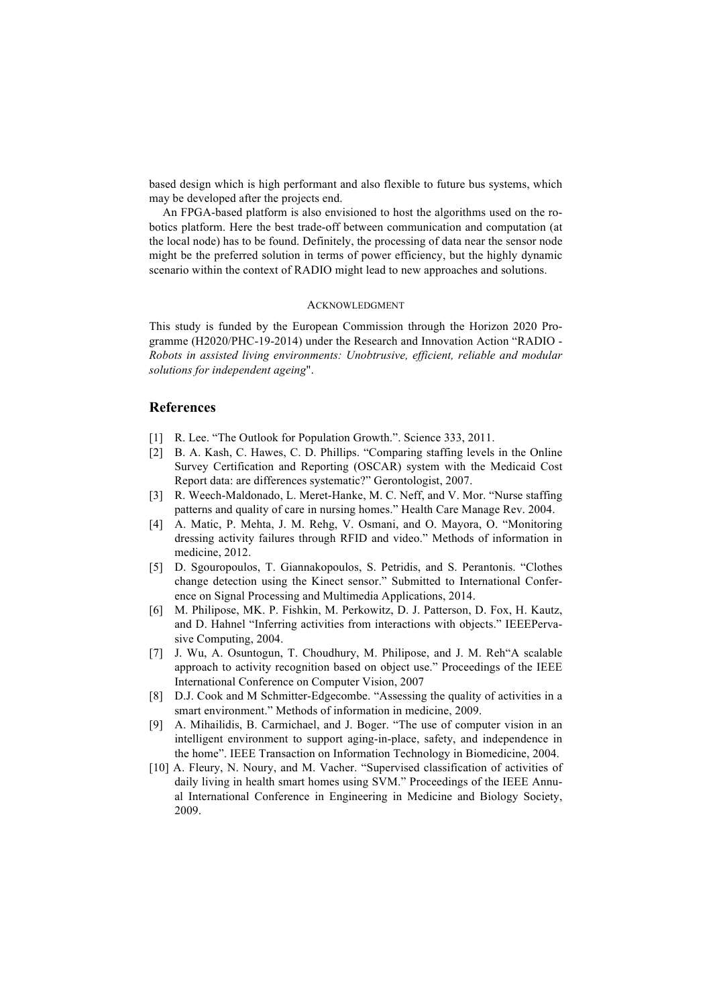based design which is high performant and also flexible to future bus systems, which may be developed after the projects end.

An FPGA-based platform is also envisioned to host the algorithms used on the robotics platform. Here the best trade-off between communication and computation (at the local node) has to be found. Definitely, the processing of data near the sensor node might be the preferred solution in terms of power efficiency, but the highly dynamic scenario within the context of RADIO might lead to new approaches and solutions.

#### ACKNOWLEDGMENT

This study is funded by the European Commission through the Horizon 2020 Programme (H2020/PHC-19-2014) under the Research and Innovation Action "RADIO - *Robots in assisted living environments: Unobtrusive, efficient, reliable and modular solutions for independent ageing*".

# **References**

- [1] R. Lee. "The Outlook for Population Growth.". Science 333, 2011.
- [2] B. A. Kash, C. Hawes, C. D. Phillips. "Comparing staffing levels in the Online Survey Certification and Reporting (OSCAR) system with the Medicaid Cost Report data: are differences systematic?" Gerontologist, 2007.
- [3] R. Weech-Maldonado, L. Meret-Hanke, M. C. Neff, and V. Mor. "Nurse staffing patterns and quality of care in nursing homes." Health Care Manage Rev. 2004.
- [4] A. Matic, P. Mehta, J. M. Rehg, V. Osmani, and O. Mayora, O. "Monitoring dressing activity failures through RFID and video." Methods of information in medicine, 2012.
- [5] D. Sgouropoulos, T. Giannakopoulos, S. Petridis, and S. Perantonis. "Clothes change detection using the Kinect sensor." Submitted to International Conference on Signal Processing and Multimedia Applications, 2014.
- [6] M. Philipose, MK. P. Fishkin, M. Perkowitz, D. J. Patterson, D. Fox, H. Kautz, and D. Hahnel "Inferring activities from interactions with objects." IEEEPervasive Computing, 2004.
- [7] J. Wu, A. Osuntogun, T. Choudhury, M. Philipose, and J. M. Reh"A scalable approach to activity recognition based on object use." Proceedings of the IEEE International Conference on Computer Vision, 2007
- [8] D.J. Cook and M Schmitter-Edgecombe. "Assessing the quality of activities in a smart environment." Methods of information in medicine, 2009.
- [9] A. Mihailidis, B. Carmichael, and J. Boger. "The use of computer vision in an intelligent environment to support aging-in-place, safety, and independence in the home". IEEE Transaction on Information Technology in Biomedicine, 2004.
- [10] A. Fleury, N. Noury, and M. Vacher. "Supervised classification of activities of daily living in health smart homes using SVM." Proceedings of the IEEE Annual International Conference in Engineering in Medicine and Biology Society, 2009.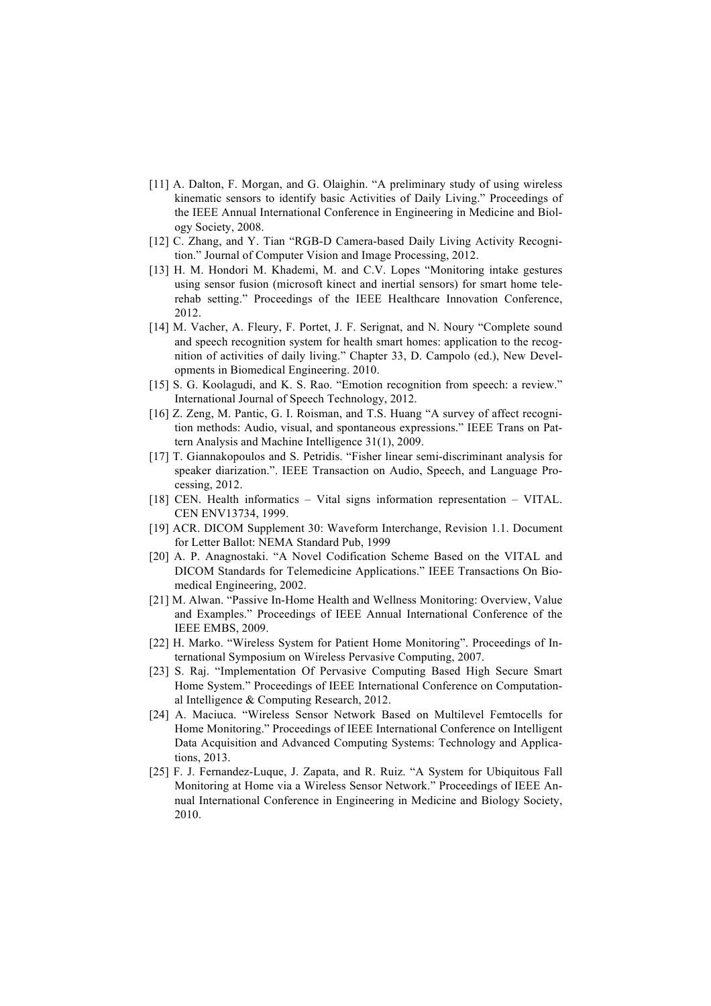- [11] A. Dalton, F. Morgan, and G. Olaighin. "A preliminary study of using wireless kinematic sensors to identify basic Activities of Daily Living." Proceedings of the IEEE Annual International Conference in Engineering in Medicine and Biology Society, 2008.
- [12] C. Zhang, and Y. Tian "RGB-D Camera-based Daily Living Activity Recognition." Journal of Computer Vision and Image Processing, 2012.
- [13] H. M. Hondori M. Khademi, M. and C.V. Lopes "Monitoring intake gestures using sensor fusion (microsoft kinect and inertial sensors) for smart home telerehab setting." Proceedings of the IEEE Healthcare Innovation Conference, 2012.
- [14] M. Vacher, A. Fleury, F. Portet, J. F. Serignat, and N. Noury "Complete sound and speech recognition system for health smart homes: application to the recognition of activities of daily living." Chapter 33, D. Campolo (ed.), New Developments in Biomedical Engineering. 2010.
- [15] S. G. Koolagudi, and K. S. Rao. "Emotion recognition from speech: a review." International Journal of Speech Technology, 2012.
- [16] Z. Zeng, M. Pantic, G. I. Roisman, and T.S. Huang "A survey of affect recognition methods: Audio, visual, and spontaneous expressions." IEEE Trans on Pattern Analysis and Machine Intelligence 31(1), 2009.
- [17] T. Giannakopoulos and S. Petridis. "Fisher linear semi-discriminant analysis for speaker diarization.". IEEE Transaction on Audio, Speech, and Language Processing, 2012.
- [18] CEN. Health informatics Vital signs information representation VITAL. CEN ENV13734, 1999.
- [19] ACR. DICOM Supplement 30: Waveform Interchange, Revision 1.1. Document for Letter Ballot: NEMA Standard Pub, 1999
- [20] A. P. Anagnostaki. "A Novel Codification Scheme Based on the VITAL and DICOM Standards for Telemedicine Applications." IEEE Transactions On Biomedical Engineering, 2002.
- [21] M. Alwan. "Passive In-Home Health and Wellness Monitoring: Overview, Value and Examples." Proceedings of IEEE Annual International Conference of the IEEE EMBS, 2009.
- [22] H. Marko. "Wireless System for Patient Home Monitoring". Proceedings of International Symposium on Wireless Pervasive Computing, 2007.
- [23] S. Raj. "Implementation Of Pervasive Computing Based High Secure Smart Home System." Proceedings of IEEE International Conference on Computational Intelligence & Computing Research, 2012.
- [24] A. Maciuca. "Wireless Sensor Network Based on Multilevel Femtocells for Home Monitoring." Proceedings of IEEE International Conference on Intelligent Data Acquisition and Advanced Computing Systems: Technology and Applications, 2013.
- [25] F. J. Fernandez-Luque, J. Zapata, and R. Ruiz. "A System for Ubiquitous Fall Monitoring at Home via a Wireless Sensor Network." Proceedings of IEEE Annual International Conference in Engineering in Medicine and Biology Society, 2010.